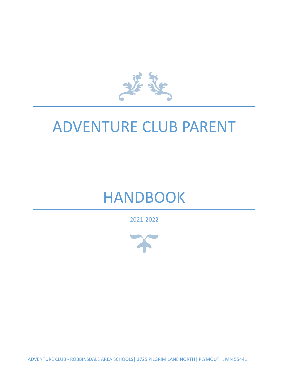基

# ADVENTURE CLUB PARENT

# HANDBOOK

2021-2022



ADVENTURE CLUB - ROBBINSDALE AREA SCHOOLS| 3725 PILGRIM LANE NORTH| PLYMOUTH, MN 55441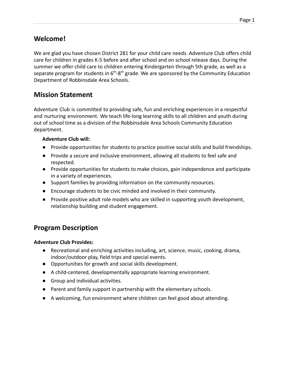# **Welcome!**

We are glad you have chosen District 281 for your child care needs. Adventure Club offers child care for children in grades K-5 before and after school and on school release days. During the summer we offer child care to children entering Kindergarten through 5th grade, as well as a separate program for students in  $6<sup>th</sup>-8<sup>th</sup>$  grade. We are sponsored by the Community Education Department of Robbinsdale Area Schools.

# **Mission Statement**

Adventure Club is committed to providing safe, fun and enriching experiences in a respectful and nurturing environment. We teach life-long learning skills to all children and youth during out of school time as a division of the Robbinsdale Area Schools Community Education department.

#### **Adventure Club will:**

- Provide opportunities for students to practice positive social skills and build friendships.
- Provide a secure and inclusive environment, allowing all students to feel safe and respected.
- Provide opportunities for students to make choices, gain independence and participate in a variety of experiences.
- Support families by providing information on the community resources.
- Encourage students to be civic minded and involved in their community.
- Provide positive adult role models who are skilled in supporting youth development, relationship building and student engagement.

# **Program Description**

#### **Adventure Club Provides:**

- Recreational and enriching activities including, art, science, music, cooking, drama, indoor/outdoor play, field trips and special events.
- Opportunities for growth and social skills development.
- A child-centered, developmentally appropriate learning environment.
- Group and individual activities.
- Parent and family support in partnership with the elementary schools.
- A welcoming, fun environment where children can feel good about attending.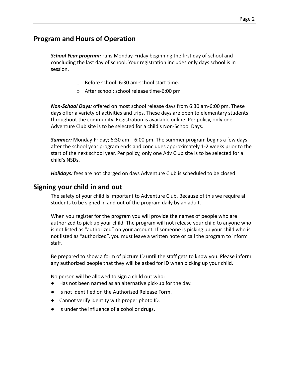# **Program and Hours of Operation**

*School Year program:* runs Monday-Friday beginning the first day of school and concluding the last day of school. Your registration includes only days school is in session.

- o Before school: 6:30 am-school start time.
- o After school: school release time-6:00 pm

*Non-School Days:* offered on most school release days from 6:30 am-6:00 pm. These days offer a variety of activities and trips. These days are open to elementary students throughout the community. Registration is available online. Per policy, only one Adventure Club site is to be selected for a child's Non-School Days.

*Summer:* Monday-Friday; 6:30 am—6:00 pm. The summer program begins a few days after the school year program ends and concludes approximately 1-2 weeks prior to the start of the next school year. Per policy, only one Adv Club site is to be selected for a child's NSDs.

*Holidays:* fees are not charged on days Adventure Club is scheduled to be closed.

## **Signing your child in and out**

The safety of your child is important to Adventure Club. Because of this we require all students to be signed in and out of the program daily by an adult.

When you register for the program you will provide the names of people who are authorized to pick up your child. The program will not release your child to anyone who is not listed as "authorized" on your account. If someone is picking up your child who is not listed as "authorized", you must leave a written note or call the program to inform staff.

Be prepared to show a form of picture ID until the staff gets to know you. Please inform any authorized people that they will be asked for ID when picking up your child.

No person will be allowed to sign a child out who:

- Has not been named as an alternative pick-up for the day.
- Is not identified on the Authorized Release Form.
- Cannot verify identity with proper photo ID.
- Is under the influence of alcohol or drugs.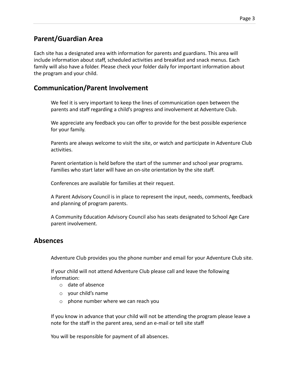# **Parent/Guardian Area**

Each site has a designated area with information for parents and guardians. This area will include information about staff, scheduled activities and breakfast and snack menus. Each family will also have a folder. Please check your folder daily for important information about the program and your child.

## **Communication/Parent Involvement**

We feel it is very important to keep the lines of communication open between the parents and staff regarding a child's progress and involvement at Adventure Club.

We appreciate any feedback you can offer to provide for the best possible experience for your family.

Parents are always welcome to visit the site, or watch and participate in Adventure Club activities.

Parent orientation is held before the start of the summer and school year programs. Families who start later will have an on-site orientation by the site staff.

Conferences are available for families at their request.

A Parent Advisory Council is in place to represent the input, needs, comments, feedback and planning of program parents.

A Community Education Advisory Council also has seats designated to School Age Care parent involvement.

## **Absences**

Adventure Club provides you the phone number and email for your Adventure Club site.

If your child will not attend Adventure Club please call and leave the following information:

- o date of absence
- o your child's name
- o phone number where we can reach you

If you know in advance that your child will not be attending the program please leave a note for the staff in the parent area, send an e-mail or tell site staff

You will be responsible for payment of all absences.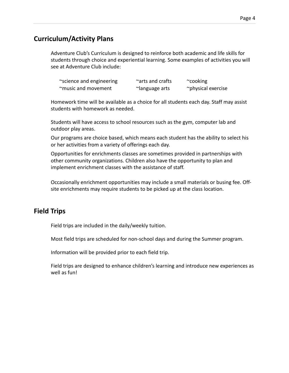# **Curriculum/Activity Plans**

Adventure Club's Curriculum is designed to reinforce both academic and life skills for students through choice and experiential learning. Some examples of activities you will see at Adventure Club include:

| ~science and engineering | ~arts and crafts | $\sim$ cooking     |
|--------------------------|------------------|--------------------|
| ~music and movement      | ~language arts   | ~physical exercise |

Homework time will be available as a choice for all students each day. Staff may assist students with homework as needed.

Students will have access to school resources such as the gym, computer lab and outdoor play areas.

Our programs are choice based, which means each student has the ability to select his or her activities from a variety of offerings each day.

Opportunities for enrichments classes are sometimes provided in partnerships with other community organizations. Children also have the opportunity to plan and implement enrichment classes with the assistance of staff.

Occasionally enrichment opportunities may include a small materials or busing fee. Offsite enrichments may require students to be picked up at the class location.

# **Field Trips**

Field trips are included in the daily/weekly tuition.

Most field trips are scheduled for non-school days and during the Summer program.

Information will be provided prior to each field trip.

Field trips are designed to enhance children's learning and introduce new experiences as well as fun!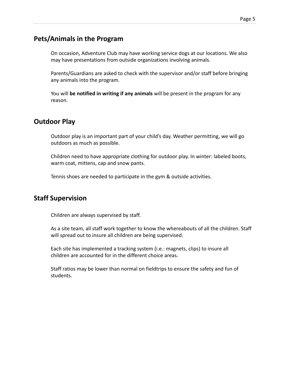# **Pets/Animals in the Program**

On occasion, Adventure Club may have working service dogs at our locations. We also may have presentations from outside organizations involving animals.

Parents/Guardians are asked to check with the supervisor and/or staff before bringing any animals into the program.

You will **be notified in writing if any animals** will be present in the program for any reason.

# **Outdoor Play**

Outdoor play is an important part of your child's day. Weather permitting, we will go outdoors as much as possible.

Children need to have appropriate clothing for outdoor play. In winter: labeled boots, warm coat, mittens, cap and snow pants.

Tennis shoes are needed to participate in the gym & outside activities.

# **Staff Supervision**

Children are always supervised by staff.

As a site team, all staff work together to know the whereabouts of all the children. Staff will spread out to insure all children are being supervised.

Each site has implemented a tracking system (i.e.: magnets, clips) to insure all children are accounted for in the different choice areas.

Staff ratios may be lower than normal on fieldtrips to ensure the safety and fun of students.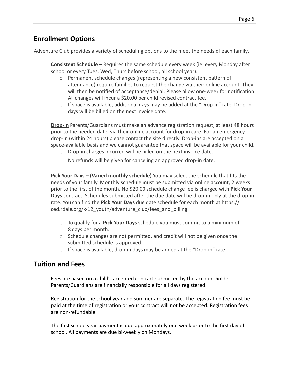# **Enrollment Options**

Adventure Club provides a variety of scheduling options to the meet the needs of each family**.**

**Consistent Schedule** – Requires the same schedule every week (ie. every Monday after school or every Tues, Wed, Thurs before school, all school year).

- o Permanent schedule changes (representing a new consistent pattern of attendance) require families to request the change via their online account. They will then be notified of acceptance/denial. Please allow one-week for notification. All changes will incur a \$20.00 per child revised contract fee.
- $\circ$  If space is available, additional days may be added at the "Drop-in" rate. Drop-in days will be billed on the next invoice date.

**Drop-In** Parents/Guardians must make an advance registration request, at least 48 hours prior to the needed date, via their online account for drop-in care. For an emergency drop-in (within 24 hours) please contact the site directly. Drop-ins are accepted on a space-available basis and we cannot guarantee that space will be available for your child.

- o Drop-in charges incurred will be billed on the next invoice date.
- o No refunds will be given for canceling an approved drop-in date.

**Pick Your Days – (Varied monthly schedule)** You may select the schedule that fits the needs of your family. Monthly schedule must be submitted via online account, 2 weeks prior to the first of the month. No \$20.00 schedule change fee is charged with **Pick Your Days** contract. Schedules submitted after the due date will be drop-in only at the drop-in rate. You can find the **Pick Your Days** due date schedule for each month at https:// ced.rdale.org/k-12\_youth/adventure\_club/fees\_and\_billing

- o To qualify for a **Pick Your Days** schedule you must commit to a minimum of 8 days per month.
- o Schedule changes are not permitted, and credit will not be given once the submitted schedule is approved.
- $\circ$  If space is available, drop-in days may be added at the "Drop-in" rate.

# **Tuition and Fees**

Fees are based on a child's accepted contract submitted by the account holder. Parents/Guardians are financially responsible for all days registered.

Registration for the school year and summer are separate. The registration fee must be paid at the time of registration or your contract will not be accepted. Registration fees are non-refundable.

The first school year payment is due approximately one week prior to the first day of school. All payments are due bi-weekly on Mondays.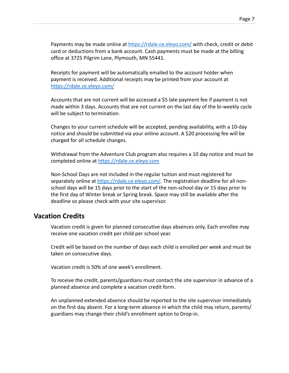Payments may be made online at <https://rdale.ce.eleyo.com/> with check, credit or debit card or deductions from a bank account. Cash payments must be made at the billing office at 3725 Pilgrim Lane, Plymouth, MN 55441.

Receipts for payment will be automatically emailed to the account holder when payment is received. Additional receipts may be printed from your account at <https://rdale.ce.eleyo.com/>

Accounts that are not current will be accessed a \$5 late payment fee if payment is not made within 3 days. Accounts that are not current on the last day of the bi-weekly cycle will be subject to termination.

Changes to your current schedule will be accepted, pending availability, with a 10-day notice and should be submitted via your online account. A \$20 processing fee will be charged for all schedule changes.

Withdrawal from the Adventure Club program also requires a 10 day notice and must be completed online at [https://rdale.ce.eleyo.com](https://rdale.ce.eleyo.com/)

Non-School Days are not included in the regular tuition and must registered for separately online at https://rdale.ce eleyo.com/. The registration deadline for all nonschool days will be 15 days prior to the start of the non-school day or 15 days prior to the first day of Winter break or Spring break. Space may still be available after the deadline so please check with your site supervisor.

## **Vacation Credits**

Vacation credit is given for planned consecutive days absences only. Each enrollee may receive one vacation credit per child per school year.

Credit will be based on the number of days each child is enrolled per week and must be taken on consecutive days.

Vacation credit is 50% of one week's enrollment.

To receive the credit, parents/guardians must contact the site supervisor in advance of a planned absence and complete a vacation credit form.

An unplanned extended absence should be reported to the site supervisor immediately on the first day absent. For a long-term absence in which the child may return, parents/ guardians may change their child's enrollment option to Drop-in.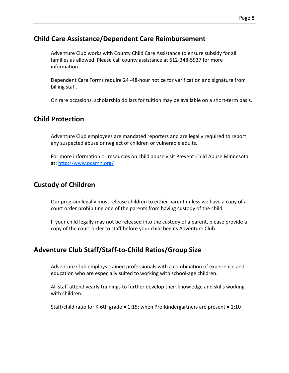# **Child Care Assistance/Dependent Care Reimbursement**

Adventure Club works with County Child Care Assistance to ensure subsidy for all families as allowed. Please call county assistance at 612-348-5937 for more information.

Dependent Care Forms require 24 -48-hour notice for verification and signature from billing staff.

On rare occasions, scholarship dollars for tuition may be available on a short-term basis.

# **Child Protection**

Adventure Club employees are mandated reporters and are legally required to report any suspected abuse or neglect of children or vulnerable adults.

For more information or resources on child abuse visit Prevent Child Abuse Minnesota at: <http://www.pcamn.org/>

# **Custody of Children**

Our program legally must release children to either parent unless we have a copy of a court order prohibiting one of the parents from having custody of the child.

If your child legally may not be released into the custody of a parent, please provide a copy of the court order to staff before your child begins Adventure Club.

# **Adventure Club Staff/Staff-to-Child Ratios/Group Size**

Adventure Club employs trained professionals with a combination of experience and education who are especially suited to working with school-age children.

All staff attend yearly trainings to further develop their knowledge and skills working with children.

Staff/child ratio for K-6th grade = 1:15; when Pre-Kindergartners are present = 1:10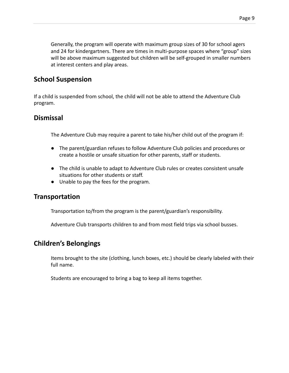Generally, the program will operate with maximum group sizes of 30 for school agers and 24 for kindergartners. There are times in multi-purpose spaces where "group" sizes will be above maximum suggested but children will be self-grouped in smaller numbers at interest centers and play areas.

# **School Suspension**

If a child is suspended from school, the child will not be able to attend the Adventure Club program.

# **Dismissal**

The Adventure Club may require a parent to take his/her child out of the program if:

- The parent/guardian refuses to follow Adventure Club policies and procedures or create a hostile or unsafe situation for other parents, staff or students.
- The child is unable to adapt to Adventure Club rules or creates consistent unsafe situations for other students or staff.
- Unable to pay the fees for the program.

# **Transportation**

Transportation to/from the program is the parent/guardian's responsibility.

Adventure Club transports children to and from most field trips via school busses.

# **Children's Belongings**

Items brought to the site (clothing, lunch boxes, etc.) should be clearly labeled with their full name.

Students are encouraged to bring a bag to keep all items together.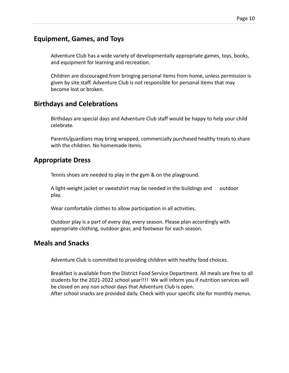# **Equipment, Games, and Toys**

Adventure Club has a wide variety of developmentally appropriate games, toys, books, and equipment for learning and recreation.

Children are discouraged from bringing personal items from home, unless permission is given by site staff. Adventure Club is not responsible for personal items that may become lost or broken.

## **Birthdays and Celebrations**

Birthdays are special days and Adventure Club staff would be happy to help your child celebrate.

Parents/guardians may bring wrapped, commercially purchased healthy treats to share with the children. No homemade items.

## **Appropriate Dress**

Tennis shoes are needed to play in the gym & on the playground.

A light-weight jacket or sweatshirt may be needed in the buildings and outdoor play.

Wear comfortable clothes to allow participation in all activities.

Outdoor play is a part of every day, every season. Please plan accordingly with appropriate clothing, outdoor gear, and footwear for each season.

# **Meals and Snacks**

Adventure Club is committed to providing children with healthy food choices.

Breakfast is available from the District Food Service Department. All meals are free to all students for the 2021-2022 school year!!!! We will inform you if nutrition services will be closed on any non school days that Adventure Club is open. After school snacks are provided daily. Check with your specific site for monthly menus.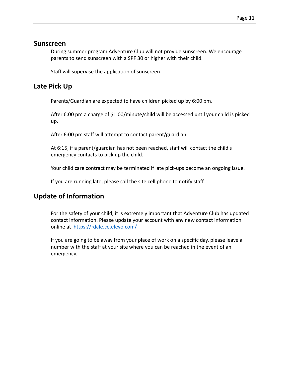## **Sunscreen**

During summer program Adventure Club will not provide sunscreen. We encourage parents to send sunscreen with a SPF 30 or higher with their child.

Staff will supervise the application of sunscreen.

# **Late Pick Up**

Parents/Guardian are expected to have children picked up by 6:00 pm.

After 6:00 pm a charge of \$1.00/minute/child will be accessed until your child is picked up.

After 6:00 pm staff will attempt to contact parent/guardian.

At 6:15, if a parent/guardian has not been reached, staff will contact the child's emergency contacts to pick up the child.

Your child care contract may be terminated if late pick-ups become an ongoing issue.

If you are running late, please call the site cell phone to notify staff.

# **Update of Information**

For the safety of your child, it is extremely important that Adventure Club has updated contact information. Please update your account with any new contact information online at <https://rdale.ce.eleyo.com/>

If you are going to be away from your place of work on a specific day, please leave a number with the staff at your site where you can be reached in the event of an emergency.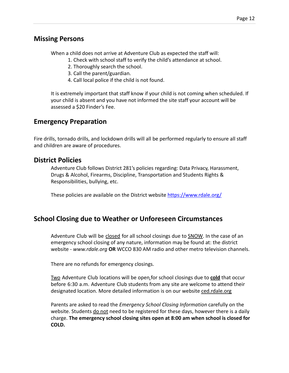# **Missing Persons**

When a child does not arrive at Adventure Club as expected the staff will:

- 1. Check with school staff to verify the child's attendance at school.
- 2. Thoroughly search the school.
- 3. Call the parent/guardian.
- 4. Call local police if the child is not found.

It is extremely important that staff know if your child is not coming when scheduled. If your child is absent and you have not informed the site staff your account will be assessed a \$20 Finder's Fee.

# **Emergency Preparation**

Fire drills, tornado drills, and lockdown drills will all be performed regularly to ensure all staff and children are aware of procedures.

## **District Policies**

Adventure Club follows District 281's policies regarding: Data Privacy, Harassment, Drugs & Alcohol, Firearms, Discipline, Transportation and Students Rights & Responsibilities, bullying, etc.

These policies are available on the District website <https://www.rdale.org/>

# **School Closing due to Weather or Unforeseen Circumstances**

Adventure Club will be closed for all school closings due to SNOW. In the case of an emergency school closing of any nature, information may be found at: the district website - *[www.rdale.org](http://www.rdale.org/)* **OR** WCCO 830 AM radio and other metro television channels.

There are no refunds for emergency closings.

Two Adventure Club locations will be open for school closings due to **cold** that occur before 6:30 a.m. Adventure Club students from any site are welcome to attend their designated location. More detailed information is on our website ced.rdale.org

Parents are asked to read the *Emergency School Closing Information* carefully on the website. Students do not need to be registered for these days, however there is a daily charge. **The emergency school closing sites open at 8:00 am when school is closed for COLD.**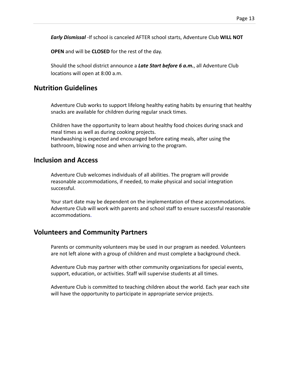*Early Dismissal* -If school is canceled AFTER school starts, Adventure Club **WILL NOT**

**OPEN** and will be **CLOSED** for the rest of the day.

Should the school district announce a *Late Start before 6 a.m.*, all Adventure Club locations will open at 8:00 a.m.

## **Nutrition Guidelines**

Adventure Club works to support lifelong healthy eating habits by ensuring that healthy snacks are available for children during regular snack times.

Children have the opportunity to learn about healthy food choices during snack and meal times as well as during cooking projects.

Handwashing is expected and encouraged before eating meals, after using the bathroom, blowing nose and when arriving to the program.

## **Inclusion and Access**

Adventure Club welcomes individuals of all abilities. The program will provide reasonable accommodations, if needed, to make physical and social integration successful.

Your start date may be dependent on the implementation of these accommodations. Adventure Club will work with parents and school staff to ensure successful reasonable accommodations.

## **Volunteers and Community Partners**

Parents or community volunteers may be used in our program as needed. Volunteers are not left alone with a group of children and must complete a background check.

Adventure Club may partner with other community organizations for special events, support, education, or activities. Staff will supervise students at all times.

Adventure Club is committed to teaching children about the world. Each year each site will have the opportunity to participate in appropriate service projects.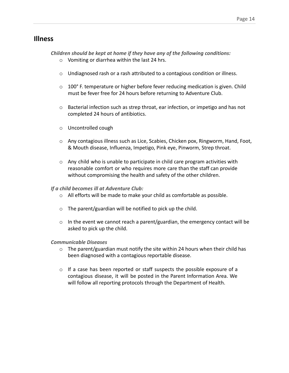## **Illness**

*Children should be kept at home if they have any of the following conditions:*

- o Vomiting or diarrhea within the last 24 hrs.
- o Undiagnosed rash or a rash attributed to a contagious condition or illness.
- $\circ$  100° F. temperature or higher before fever reducing medication is given. Child must be fever free for 24 hours before returning to Adventure Club.
- o Bacterial infection such as strep throat, ear infection, or impetigo and has not completed 24 hours of antibiotics.
- o Uncontrolled cough
- o Any contagious illness such as Lice, Scabies, Chicken pox, Ringworm, Hand, Foot, & Mouth disease, Influenza, Impetigo, Pink eye, Pinworm, Strep throat.
- $\circ$  Any child who is unable to participate in child care program activities with reasonable comfort or who requires more care than the staff can provide without compromising the health and safety of the other children.

#### *If a child becomes ill at Adventure Club:*

- o All efforts will be made to make your child as comfortable as possible.
- $\circ$  The parent/guardian will be notified to pick up the child.
- $\circ$  In the event we cannot reach a parent/guardian, the emergency contact will be asked to pick up the child.

#### *Communicable Diseases*

- $\circ$  The parent/guardian must notify the site within 24 hours when their child has been diagnosed with a contagious reportable disease.
- o If a case has been reported or staff suspects the possible exposure of a contagious disease, it will be posted in the Parent Information Area. We will follow all reporting protocols through the Department of Health.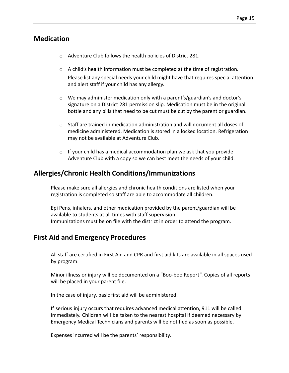## **Medication**

- o Adventure Club follows the health policies of District 281.
- $\circ$  A child's health information must be completed at the time of registration. Please list any special needs your child might have that requires special attention and alert staff if your child has any allergy.
- o We may administer medication only with a parent's/guardian's and doctor's signature on a District 281 permission slip. Medication must be in the original bottle and any pills that need to be cut must be cut by the parent or guardian.
- o Staff are trained in medication administration and will document all doses of medicine administered. Medication is stored in a locked location. Refrigeration may not be available at Adventure Club.
- $\circ$  If your child has a medical accommodation plan we ask that you provide Adventure Club with a copy so we can best meet the needs of your child.

# **Allergies/Chronic Health Conditions/Immunizations**

Please make sure all allergies and chronic health conditions are listed when your registration is completed so staff are able to accommodate all children.

Epi Pens, inhalers, and other medication provided by the parent/guardian will be available to students at all times with staff supervision. Immunizations must be on file with the district in order to attend the program.

# **First Aid and Emergency Procedures**

All staff are certified in First Aid and CPR and first aid kits are available in all spaces used by program.

Minor illness or injury will be documented on a "Boo-boo Report". Copies of all reports will be placed in your parent file.

In the case of injury, basic first aid will be administered.

If serious injury occurs that requires advanced medical attention, 911 will be called immediately. Children will be taken to the nearest hospital if deemed necessary by Emergency Medical Technicians and parents will be notified as soon as possible.

Expenses incurred will be the parents' responsibility.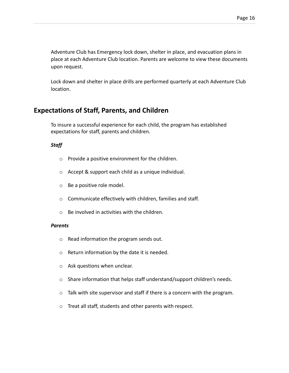Adventure Club has Emergency lock down, shelter in place, and evacuation plans in place at each Adventure Club location. Parents are welcome to view these documents upon request.

Lock down and shelter in place drills are performed quarterly at each Adventure Club location.

# **Expectations of Staff, Parents, and Children**

To insure a successful experience for each child, the program has established expectations for staff, parents and children.

#### *Staff*

- o Provide a positive environment for the children.
- o Accept & support each child as a unique individual.
- o Be a positive role model.
- o Communicate effectively with children, families and staff.
- o Be involved in activities with the children.

#### *Parents*

- o Read information the program sends out.
- o Return information by the date it is needed.
- o Ask questions when unclear.
- o Share information that helps staff understand/support children's needs.
- o Talk with site supervisor and staff if there is a concern with the program.
- o Treat all staff, students and other parents with respect.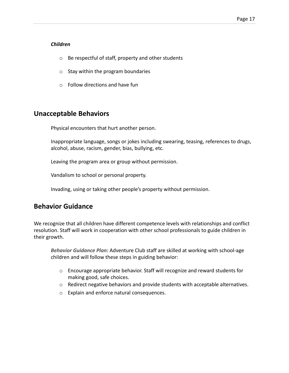#### *Children*

- o Be respectful of staff, property and other students
- o Stay within the program boundaries
- $\circ$  Follow directions and have fun

## **Unacceptable Behaviors**

Physical encounters that hurt another person.

Inappropriate language, songs or jokes including swearing, teasing, references to drugs, alcohol, abuse, racism, gender, bias, bullying, etc.

Leaving the program area or group without permission.

Vandalism to school or personal property.

Invading, using or taking other people's property without permission.

# **Behavior Guidance**

We recognize that all children have different competence levels with relationships and conflict resolution. Staff will work in cooperation with other school professionals to guide children in their growth.

*Behavior Guidance Plan:* Adventure Club staff are skilled at working with school-age children and will follow these steps in guiding behavior:

- o Encourage appropriate behavior. Staff will recognize and reward students for making good, safe choices.
- o Redirect negative behaviors and provide students with acceptable alternatives.
- o Explain and enforce natural consequences.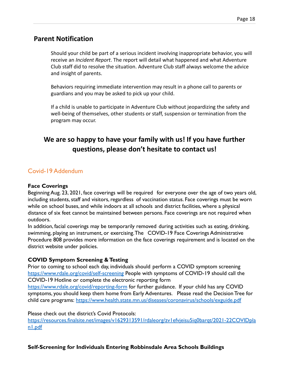## **Parent Notification**

Should your child be part of a serious incident involving inappropriate behavior, you will receive an *Incident Report*. The report will detail what happened and what Adventure Club staff did to resolve the situation. Adventure Club staff always welcome the advice and insight of parents.

Behaviors requiring immediate intervention may result in a phone call to parents or guardians and you may be asked to pick up your child.

If a child is unable to participate in Adventure Club without jeopardizing the safety and well-being of themselves, other students or staff, suspension or termination from the program may occur.

# **We are so happy to have your family with us! If you have further questions, please don't hesitate to contact us!**

## Covid-19 Addendum

#### **Face Coverings**

Beginning Aug. 23, 2021, face coverings will be required for everyone over the age of two years old, including students, staff and visitors, regardless of vaccination status. Face coverings must be worn while on school buses, and while indoors at all schools and district facilities, where a physical distance of six feet cannot be maintained between persons. Face coverings are not required when outdoors.

In addition, facial coverings may be temporarily removed during activities such as eating, drinking, swimming, playing an instrument, or exercising. The COVID-19 Face Coverings Administrative Procedure 808 provides more information on the face coverings requirement and is located on the district website under policies.

#### **COVID Symptom Screening & Testing**

Prior to coming to school each day, individuals should perform a COVID symptom screening <https://www.rdale.org/covid/self-screening> People with symptoms of COVID-19 should call the COVID-19 Hotline or complete the electronic reporting form

<https://www.rdale.org/covid/reporting-form> for further guidance. If your child has any COVID symptoms, you should keep them home from Early Adventures. Please read the Decision Tree for child care programs: <https://www.health.state.mn.us/diseases/coronavirus/schools/exguide.pdf>

#### Please check out the district's Covid Protocols:

[https://resources.finalsite.net/images/v1629313591/rdaleorg/zv1efvjeisu5iq0barqt/2021-22COVIDpla](https://resources.finalsite.net/images/v1629313591/rdaleorg/zv1efvjeisu5iq0barqt/2021-22COVIDplan1.pdf) [n1.pdf](https://resources.finalsite.net/images/v1629313591/rdaleorg/zv1efvjeisu5iq0barqt/2021-22COVIDplan1.pdf)

#### **Self-Screening for Individuals Entering Robbinsdale Area Schools Buildings**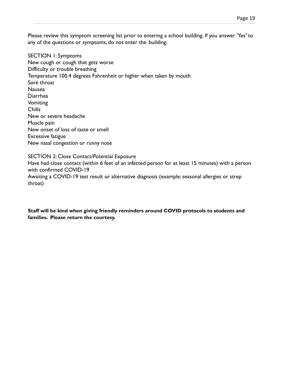Please review this symptom screening list prior to entering a school building. If you answer 'Yes' to any of the questions or symptoms, do not enter the building.

SECTION 1: Symptoms New cough or cough that gets worse Difficulty or trouble breathing Temperature 100.4 degrees Fahrenheit or higher when taken by mouth Sore throat Nausea Diarrhea Vomiting Chills New or severe headache Muscle pain New onset of loss of taste or smell Excessive fatigue New nasal congestion or runny nose

SECTION 2: Close Contact/Potential Exposure

Have had close contact (within 6 feet of an infected person for at least 15 minutes) with a person with confirmed COVID-19 Awaiting a COVID-19 test result or alternative diagnosis (example: seasonal allergies or strep

throat)

**Staff will be kind when giving friendly reminders around COVID protocols to students and families. Please return the courtesy.**